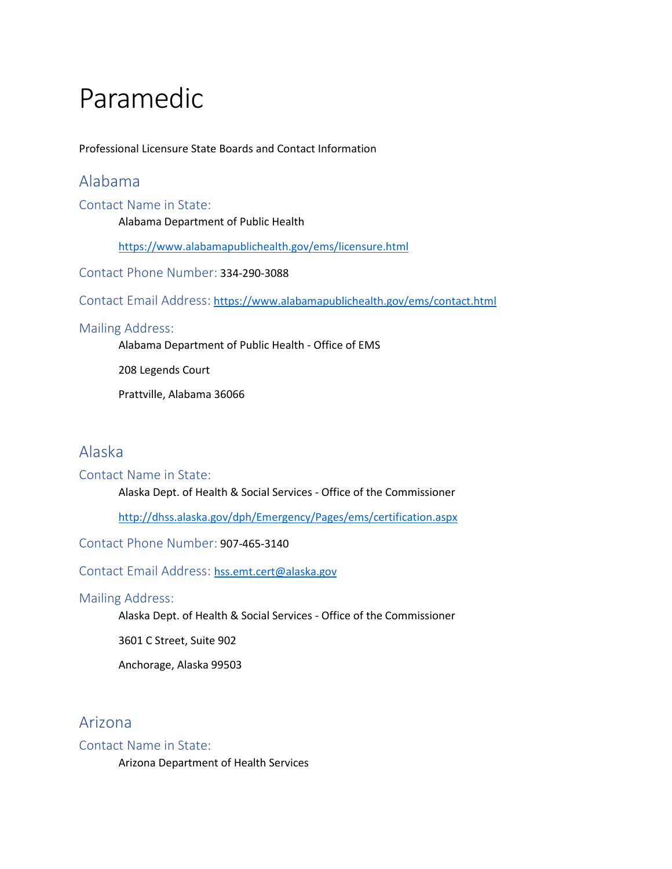# Paramedic

Professional Licensure State Boards and Contact Information

# Alabama

Contact Name in State:

Alabama Department of Public Health

<https://www.alabamapublichealth.gov/ems/licensure.html>

Contact Phone Number: 334-290-3088

Contact Email Address: <https://www.alabamapublichealth.gov/ems/contact.html>

### Mailing Address:

Alabama Department of Public Health - Office of EMS

208 Legends Court

Prattville, Alabama 36066

# Alaska

### Contact Name in State:

Alaska Dept. of Health & Social Services - Office of the Commissioner

<http://dhss.alaska.gov/dph/Emergency/Pages/ems/certification.aspx>

Contact Phone Number: 907-465-3140

Contact Email Address:[hss.emt.cert@alaska.gov](mailto:hss.emt.cert@alaska.gov)

### Mailing Address:

Alaska Dept. of Health & Social Services - Office of the Commissioner

3601 C Street, Suite 902

Anchorage, Alaska 99503

# Arizona

### Contact Name in State:

Arizona Department of Health Services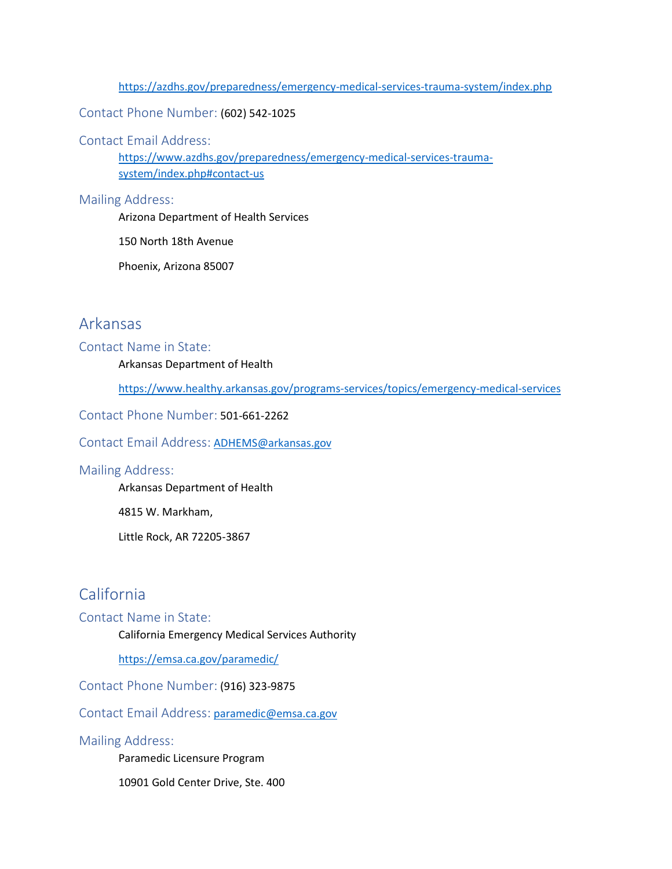<https://azdhs.gov/preparedness/emergency-medical-services-trauma-system/index.php>

Contact Phone Number: (602) 542-1025

Contact Email Address:

[https://www.azdhs.gov/preparedness/emergency-medical-services-trauma](https://www.azdhs.gov/preparedness/emergency-medical-services-trauma-system/index.php#contact-us)[system/index.php#contact-us](https://www.azdhs.gov/preparedness/emergency-medical-services-trauma-system/index.php#contact-us)

Mailing Address:

Arizona Department of Health Services

150 North 18th Avenue

Phoenix, Arizona 85007

# Arkansas

#### Contact Name in State:

Arkansas Department of Health

<https://www.healthy.arkansas.gov/programs-services/topics/emergency-medical-services>

Contact Phone Number: 501-661-2262

Contact Email Address: [ADHEMS@arkansas.gov](mailto:ADHEMS@arkansas.gov)

### Mailing Address:

Arkansas Department of Health

4815 W. Markham,

Little Rock, AR 72205-3867

# California

### Contact Name in State:

California Emergency Medical Services Authority

<https://emsa.ca.gov/paramedic/>

Contact Phone Number: (916) 323-9875

Contact Email Address: [paramedic@emsa.ca.gov](mailto:paramedic@emsa.ca.gov)

### Mailing Address:

Paramedic Licensure Program

10901 Gold Center Drive, Ste. 400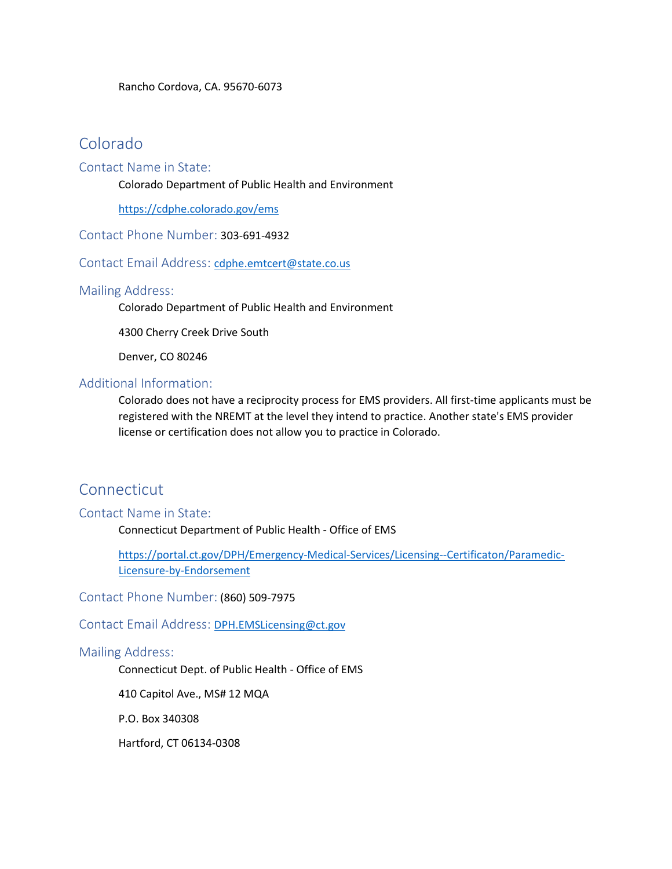# Colorado

### Contact Name in State:

Colorado Department of Public Health and Environment

<https://cdphe.colorado.gov/ems>

Contact Phone Number: 303-691-4932

Contact Email Address:[cdphe.emtcert@state.co.us](mailto:cdphe.emtcert@state.co.us)

### Mailing Address:

Colorado Department of Public Health and Environment

4300 Cherry Creek Drive South

Denver, CO 80246

### Additional Information:

Colorado does not have a reciprocity process for EMS providers. All first-time applicants must be registered with the NREMT at the level they intend to practice. Another state's EMS provider license or certification does not allow you to practice in Colorado.

# Connecticut

### Contact Name in State:

Connecticut Department of Public Health - Office of EMS

[https://portal.ct.gov/DPH/Emergency-Medical-Services/Licensing--Certificaton/Paramedic-](https://portal.ct.gov/DPH/Emergency-Medical-Services/Licensing--Certificaton/Paramedic-Licensure-by-Endorsement)[Licensure-by-Endorsement](https://portal.ct.gov/DPH/Emergency-Medical-Services/Licensing--Certificaton/Paramedic-Licensure-by-Endorsement)

Contact Phone Number: (860) 509-7975

Contact Email Address:[DPH.EMSLicensing@ct.gov](mailto:DPH.EMSLicensing@ct.gov)

### Mailing Address:

Connecticut Dept. of Public Health - Office of EMS

410 Capitol Ave., MS# 12 MQA

P.O. Box 340308

Hartford, CT 06134-0308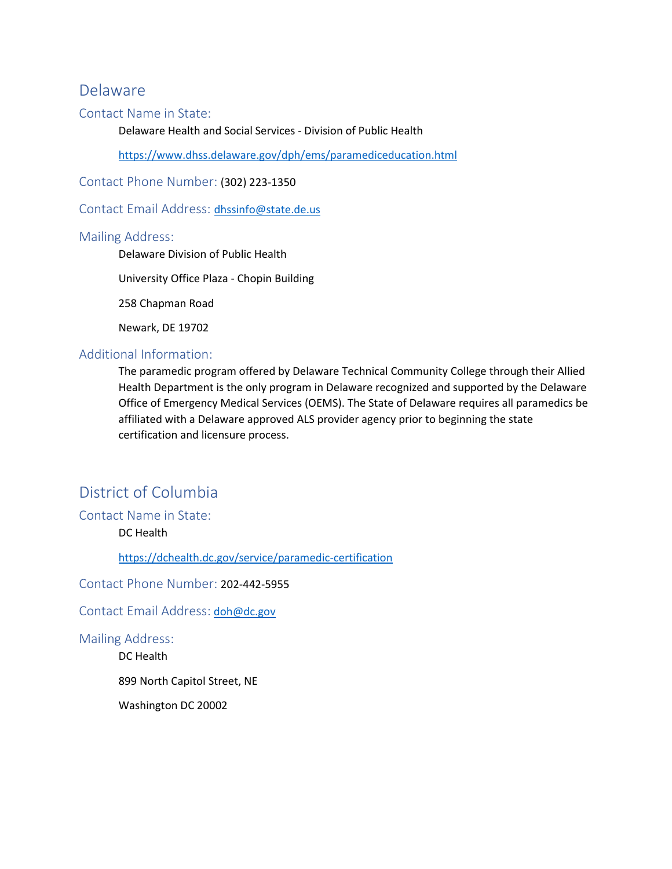### Delaware

### Contact Name in State:

Delaware Health and Social Services - Division of Public Health

<https://www.dhss.delaware.gov/dph/ems/paramediceducation.html>

Contact Phone Number: (302) 223-1350

ContactEmail Address: [dhssinfo@state.de.us](mailto:dhssinfo@state.de.us)

### Mailing Address:

Delaware Division of Public Health

University Office Plaza - Chopin Building

258 Chapman Road

Newark, DE 19702

### Additional Information:

The paramedic program offered by Delaware Technical Community College through their Allied Health Department is the only program in Delaware recognized and supported by the Delaware Office of Emergency Medical Services (OEMS). The State of Delaware requires all paramedics be affiliated with a Delaware approved ALS provider agency prior to beginning the state certification and licensure process.

# District of Columbia

Contact Name in State:

DC Health

<https://dchealth.dc.gov/service/paramedic-certification>

Contact Phone Number: 202-442-5955

Contact Email Address: [doh@dc.gov](mailto:doh@dc.gov)

Mailing Address:

DC Health

899 North Capitol Street, NE

Washington DC 20002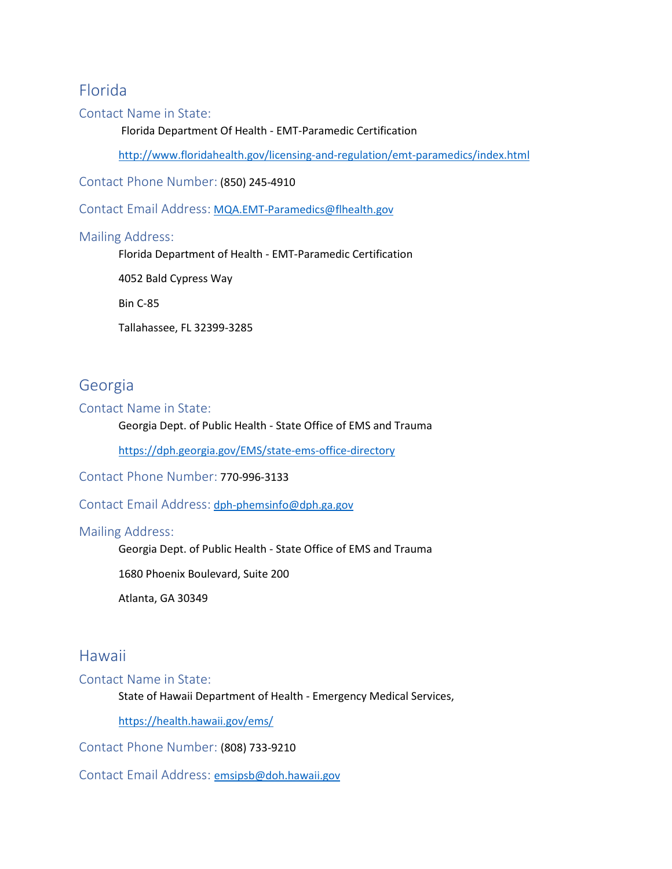# Florida

### Contact Name in State:

Florida Department Of Health - EMT-Paramedic Certification

<http://www.floridahealth.gov/licensing-and-regulation/emt-paramedics/index.html>

Contact Phone Number: (850) 245-4910

Contact Email Address: [MQA.EMT-Paramedics@flhealth.gov](mailto:MQA.EMT-Paramedics@flhealth.gov)

### Mailing Address:

Florida Department of Health - EMT-Paramedic Certification

4052 Bald Cypress Way

Bin C-85

Tallahassee, FL 32399-3285

### Georgia

### Contact Name in State:

### Georgia Dept. of Public Health - State Office of EMS and Trauma

<https://dph.georgia.gov/EMS/state-ems-office-directory>

Contact Phone Number: 770-996-3133

Contact Email Address: [dph-phemsinfo@dph.ga.gov](mailto:dph-phemsinfo@dph.ga.gov)

### Mailing Address:

Georgia Dept. of Public Health - State Office of EMS and Trauma

1680 Phoenix Boulevard, Suite 200

Atlanta, GA 30349

### Hawaii

Contact Name in State:

State of Hawaii Department of Health - Emergency Medical Services,

<https://health.hawaii.gov/ems/>

Contact Phone Number: (808) 733-9210

Contact Email Address:[emsipsb@doh.hawaii.gov](mailto:emsipsb@doh.hawaii.gov)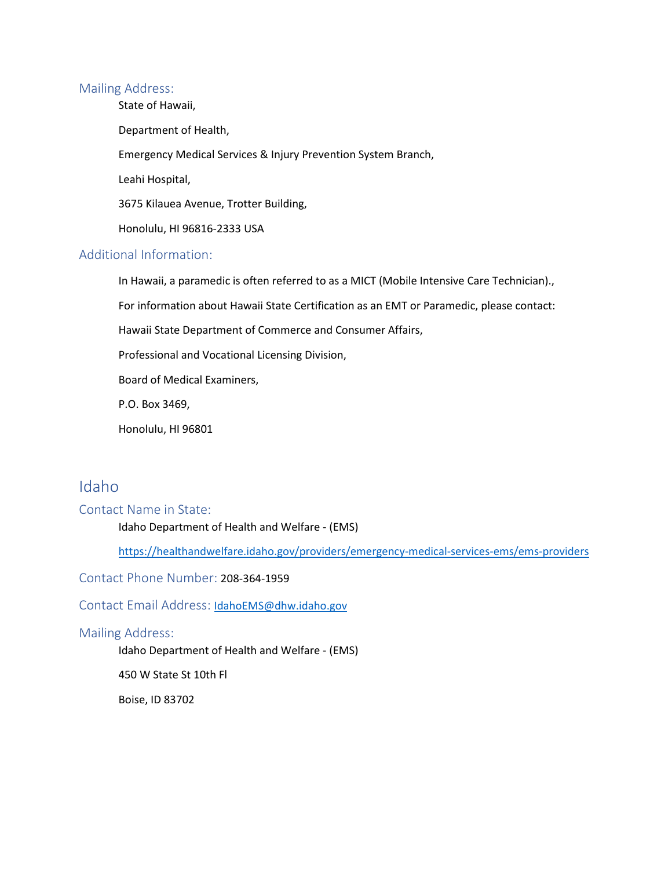#### Mailing Address:

State of Hawaii,

Department of Health,

Emergency Medical Services & Injury Prevention System Branch,

Leahi Hospital,

3675 Kilauea Avenue, Trotter Building,

Honolulu, HI 96816-2333 USA

### Additional Information:

In Hawaii, a paramedic is often referred to as a MICT (Mobile Intensive Care Technician).,

For information about Hawaii State Certification as an EMT or Paramedic, please contact:

Hawaii State Department of Commerce and Consumer Affairs,

Professional and Vocational Licensing Division,

Board of Medical Examiners,

P.O. Box 3469,

Honolulu, HI 96801

# Idaho

#### Contact Name in State:

Idaho Department of Health and Welfare - (EMS)

<https://healthandwelfare.idaho.gov/providers/emergency-medical-services-ems/ems-providers>

Contact Phone Number: 208-364-1959

ContactEmail Address: [IdahoEMS@dhw.idaho.gov](mailto:IdahoEMS@dhw.idaho.gov)

### Mailing Address:

Idaho Department of Health and Welfare - (EMS)

450 W State St 10th Fl

Boise, ID 83702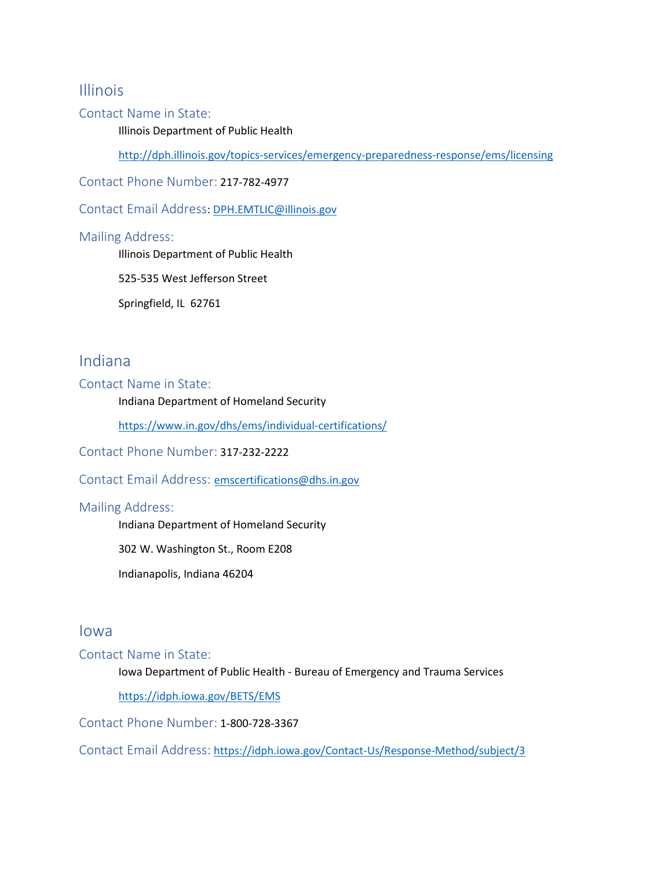### Illinois

### Contact Name in State:

Illinois Department of Public Health

<http://dph.illinois.gov/topics-services/emergency-preparedness-response/ems/licensing>

Contact Phone Number: 217-782-4977

Contact Email Address: [DPH.EMTLIC@illinois.gov](mailto:DPH.EMTLIC@illinois.gov)

### Mailing Address:

Illinois Department of Public Health

525-535 West Jefferson Street

Springfield, IL 62761

# Indiana

Contact Name in State:

Indiana Department of Homeland Security

<https://www.in.gov/dhs/ems/individual-certifications/>

Contact Phone Number: 317-232-2222

Contact Email Address:[emscertifications@dhs.in.gov](mailto:emscertifications@dhs.in.gov)

### Mailing Address:

Indiana Department of Homeland Security

302 W. Washington St., Room E208

Indianapolis, Indiana 46204

### Iowa

Contact Name in State:

Iowa Department of Public Health - Bureau of Emergency and Trauma Services

<https://idph.iowa.gov/BETS/EMS>

Contact Phone Number: 1-800-728-3367

Contact Email Address: <https://idph.iowa.gov/Contact-Us/Response-Method/subject/3>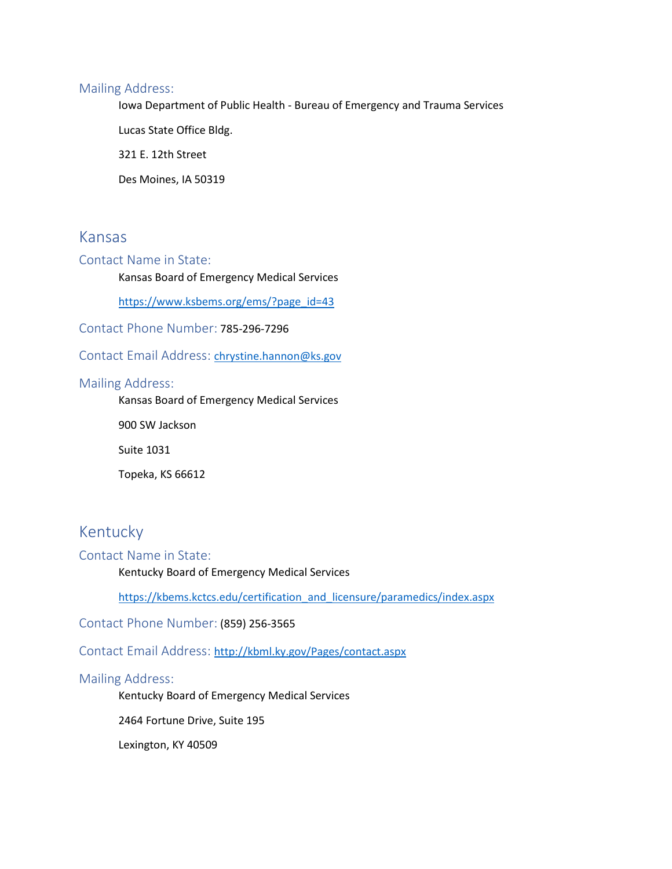### Mailing Address:

Iowa Department of Public Health - Bureau of Emergency and Trauma Services

Lucas State Office Bldg.

321 E. 12th Street

Des Moines, IA 50319

### Kansas

### Contact Name in State:

Kansas Board of Emergency Medical Services

[https://www.ksbems.org/ems/?page\\_id=43](https://www.ksbems.org/ems/?page_id=43)

Contact Phone Number: 785-296-7296

ContactEmail Address: [chrystine.hannon@ks.gov](mailto:chrystine.hannon@ks.gov)

### Mailing Address:

Kansas Board of Emergency Medical Services

900 SW Jackson

Suite 1031

Topeka, KS 66612

# Kentucky

### Contact Name in State:

Kentucky Board of Emergency Medical Services

[https://kbems.kctcs.edu/certification\\_and\\_licensure/paramedics/index.aspx](https://kbems.kctcs.edu/certification_and_licensure/paramedics/index.aspx)

Contact Phone Number: (859) 256-3565

Contact Email Address:<http://kbml.ky.gov/Pages/contact.aspx>

### Mailing Address:

Kentucky Board of Emergency Medical Services

2464 Fortune Drive, Suite 195

Lexington, KY 40509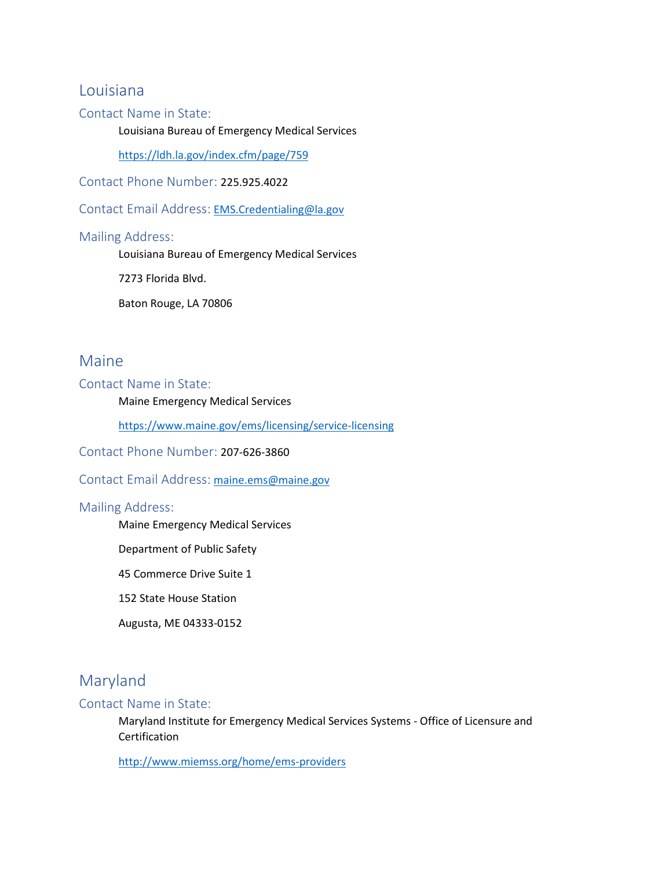### Louisiana

### Contact Name in State:

Louisiana Bureau of Emergency Medical Services

<https://ldh.la.gov/index.cfm/page/759>

Contact Phone Number: 225.925.4022

Contact Email Address: [EMS.Credentialing@la.gov](mailto:EMS.Credentialing@la.gov)

#### Mailing Address:

Louisiana Bureau of Emergency Medical Services

7273 Florida Blvd.

Baton Rouge, LA 70806

### Maine

Contact Name in State:

Maine Emergency Medical Services

<https://www.maine.gov/ems/licensing/service-licensing>

Contact Phone Number: 207-626-3860

Contact Email Address: [maine.ems@maine.gov](mailto:maine.ems@maine.gov)

### Mailing Address:

Maine Emergency Medical Services

Department of Public Safety

45 Commerce Drive Suite 1

152 State House Station

Augusta, ME 04333-0152

# Maryland

#### Contact Name in State:

Maryland Institute for Emergency Medical Services Systems - Office of Licensure and Certification

<http://www.miemss.org/home/ems-providers>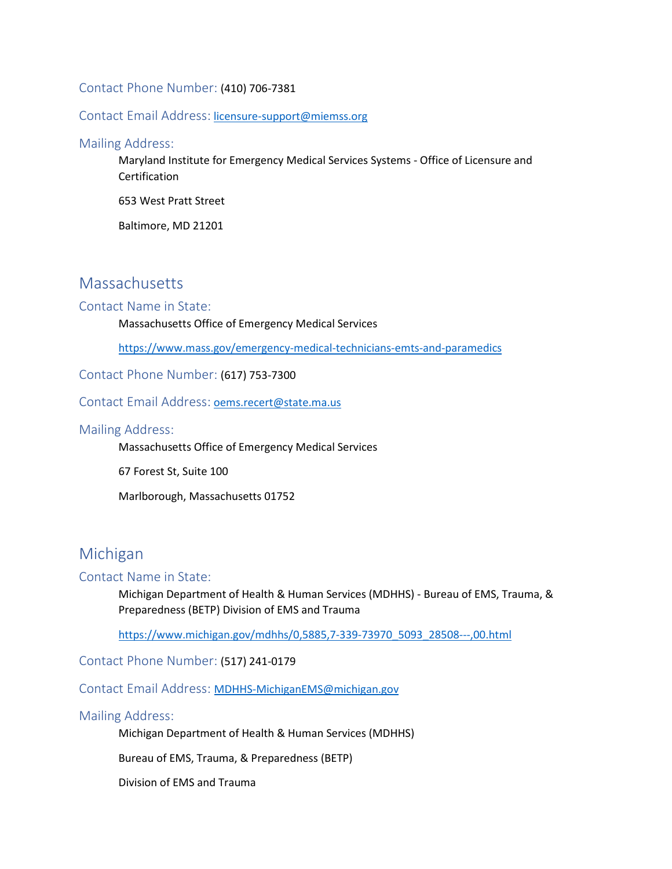### Contact Phone Number: (410) 706-7381

#### Contact Email Address: [licensure-support@miemss.org](mailto:licensure-support@miemss.org)

Mailing Address:

Maryland Institute for Emergency Medical Services Systems - Office of Licensure and Certification

653 West Pratt Street

Baltimore, MD 21201

# **Massachusetts**

Contact Name in State:

Massachusetts Office of Emergency Medical Services

<https://www.mass.gov/emergency-medical-technicians-emts-and-paramedics>

Contact Phone Number: (617) 753-7300

Contact Email Address: [oems.recert@state.ma.us](mailto:oems.recert@state.ma.us)

Mailing Address:

Massachusetts Office of Emergency Medical Services

67 Forest St, Suite 100

Marlborough, Massachusetts 01752

# Michigan

#### Contact Name in State:

Michigan Department of Health & Human Services (MDHHS) - Bureau of EMS, Trauma, & Preparedness (BETP) Division of EMS and Trauma

[https://www.michigan.gov/mdhhs/0,5885,7-339-73970\\_5093\\_28508---,00.html](https://www.michigan.gov/mdhhs/0,5885,7-339-73970_5093_28508---,00.html)

Contact Phone Number: (517) 241-0179

Contact Email Address: [MDHHS-MichiganEMS@michigan.gov](mailto:MDHHS-MichiganEMS@michigan.gov)

Mailing Address:

Michigan Department of Health & Human Services (MDHHS)

Bureau of EMS, Trauma, & Preparedness (BETP)

Division of EMS and Trauma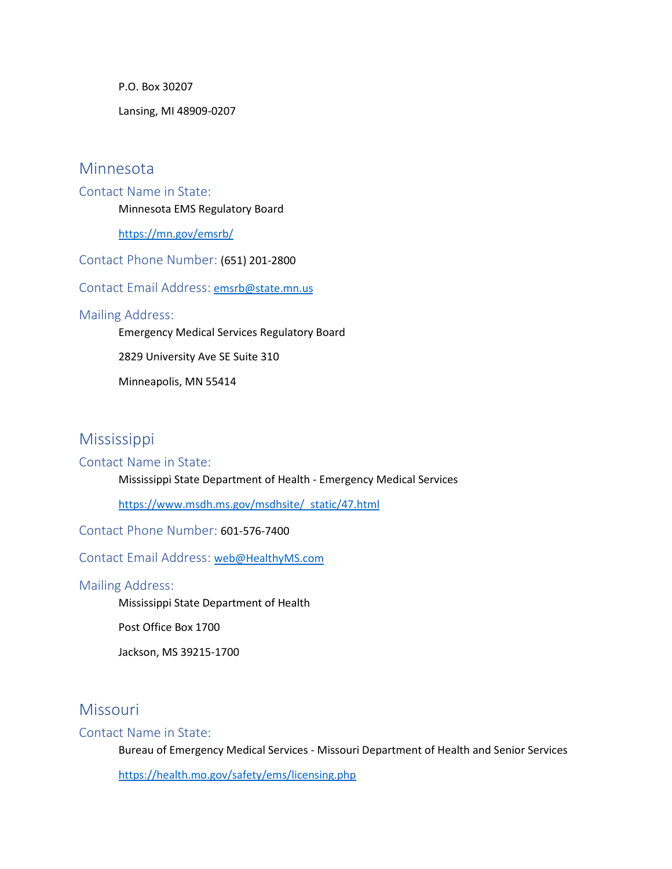P.O. Box 30207

Lansing, MI 48909-0207

### Minnesota

Contact Name in State: Minnesota EMS Regulatory Board

<https://mn.gov/emsrb/>

Contact Phone Number: (651) 201-2800

Contact Email Address: [emsrb@state.mn.us](mailto:emsrb@state.mn.us)

### Mailing Address:

Emergency Medical Services Regulatory Board

2829 University Ave SE Suite 310

Minneapolis, MN 55414

### Mississippi

#### Contact Name in State:

Mississippi State Department of Health - Emergency Medical Services

[https://www.msdh.ms.gov/msdhsite/\\_static/47.html](https://www.msdh.ms.gov/msdhsite/_static/47.html)

Contact Phone Number: 601-576-7400

Contact Email Address:[web@HealthyMS.com](mailto:web@HealthyMS.com)

### Mailing Address:

Mississippi State Department of Health

Post Office Box 1700

Jackson, MS 39215-1700

### **Missouri**

#### Contact Name in State:

Bureau of Emergency Medical Services - Missouri Department of Health and Senior Services

<https://health.mo.gov/safety/ems/licensing.php>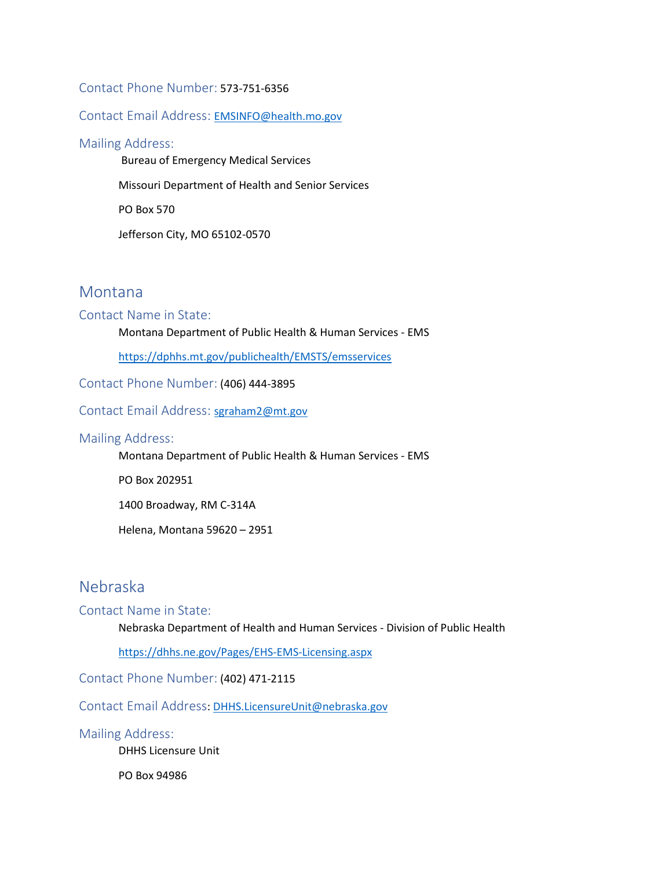### Contact Phone Number: 573-751-6356

### Contact Email Address:[EMSINFO@health.mo.gov](mailto:EMSINFO@health.mo.gov)

#### Mailing Address:

Bureau of Emergency Medical Services

Missouri Department of Health and Senior Services

PO Box 570

Jefferson City, MO 65102-0570

### Montana

### Contact Name in State:

Montana Department of Public Health & Human Services - EMS

<https://dphhs.mt.gov/publichealth/EMSTS/emsservices>

Contact Phone Number: (406) 444-3895

Contact Email Address:[sgraham2@mt.gov](mailto:sgraham2@mt.gov)

#### Mailing Address:

Montana Department of Public Health & Human Services - EMS

PO Box 202951

1400 Broadway, RM C-314A

Helena, Montana 59620 – 2951

# Nebraska

### Contact Name in State:

Nebraska Department of Health and Human Services - Division of Public Health

<https://dhhs.ne.gov/Pages/EHS-EMS-Licensing.aspx>

Contact Phone Number: (402) 471-2115

Contact Email Address: [DHHS.LicensureUnit@nebraska.gov](mailto:DHHS.LicensureUnit@nebraska.gov)

#### Mailing Address:

DHHS Licensure Unit

PO Box 94986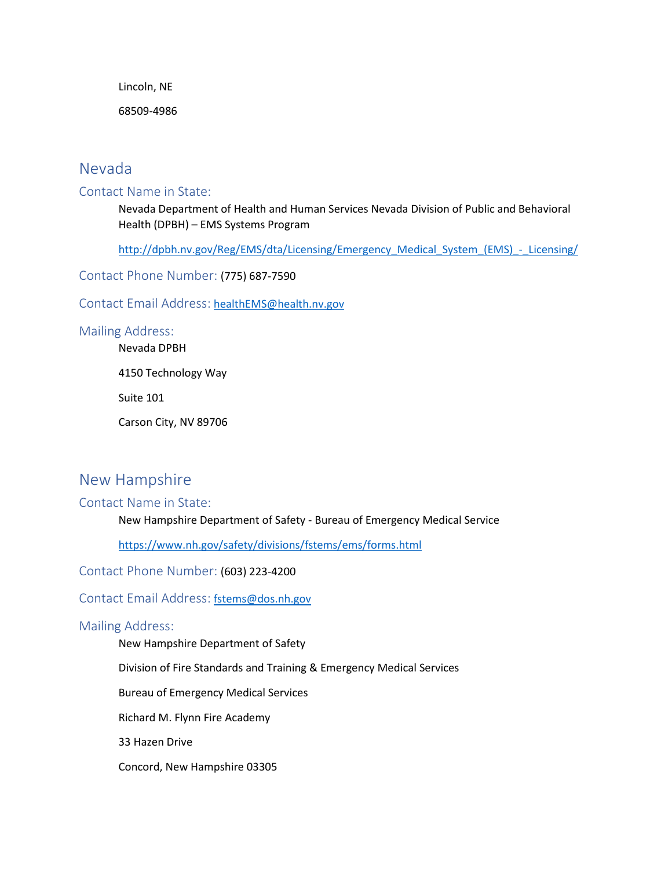Lincoln, NE

68509-4986

# Nevada

### Contact Name in State:

Nevada Department of Health and Human Services Nevada Division of Public and Behavioral Health (DPBH) – EMS Systems Program

[http://dpbh.nv.gov/Reg/EMS/dta/Licensing/Emergency\\_Medical\\_System\\_\(EMS\)\\_-\\_Licensing/](http://dpbh.nv.gov/Reg/EMS/dta/Licensing/Emergency_Medical_System_(EMS)_-_Licensing/)

Contact Phone Number: (775) 687-7590

Contact Email Address: [healthEMS@health.nv.gov](mailto:healthEMS@health.nv.gov)

### Mailing Address:

Nevada DPBH

4150 Technology Way

Suite 101

Carson City, NV 89706

# New Hampshire

### Contact Name in State:

New Hampshire Department of Safety - Bureau of Emergency Medical Service

<https://www.nh.gov/safety/divisions/fstems/ems/forms.html>

Contact Phone Number: (603) 223-4200

### Contact Email Address: [fstems@dos.nh.gov](mailto:fstems@dos.nh.gov)

### Mailing Address:

New Hampshire Department of Safety

Division of Fire Standards and Training & Emergency Medical Services

Bureau of Emergency Medical Services

Richard M. Flynn Fire Academy

33 Hazen Drive

Concord, New Hampshire 03305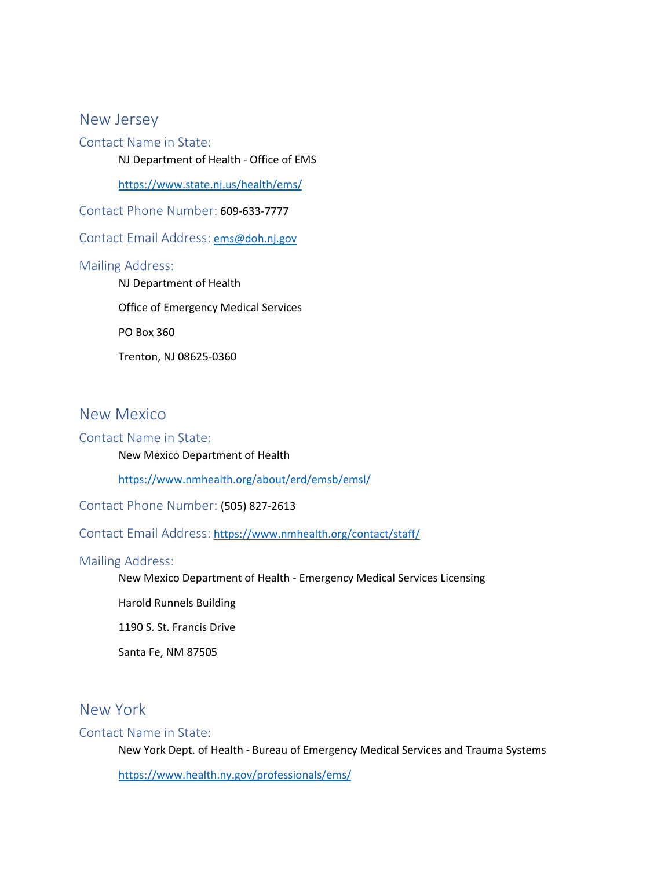### New Jersey

Contact Name in State:

NJ Department of Health - Office of EMS

<https://www.state.nj.us/health/ems/>

Contact Phone Number: 609-633-7777

Contact Email Address: [ems@doh.nj.gov](mailto:ems@doh.nj.gov)

### Mailing Address:

NJ Department of Health Office of Emergency Medical Services PO Box 360 Trenton, NJ 08625-0360

# New Mexico

### Contact Name in State:

New Mexico Department of Health

<https://www.nmhealth.org/about/erd/emsb/emsl/>

Contact Phone Number: (505) 827-2613

Contact Email Address: <https://www.nmhealth.org/contact/staff/>

### Mailing Address:

New Mexico Department of Health - Emergency Medical Services Licensing

Harold Runnels Building

1190 S. St. Francis Drive

Santa Fe, NM 87505

### New York

#### Contact Name in State:

New York Dept. of Health - Bureau of Emergency Medical Services and Trauma Systems

<https://www.health.ny.gov/professionals/ems/>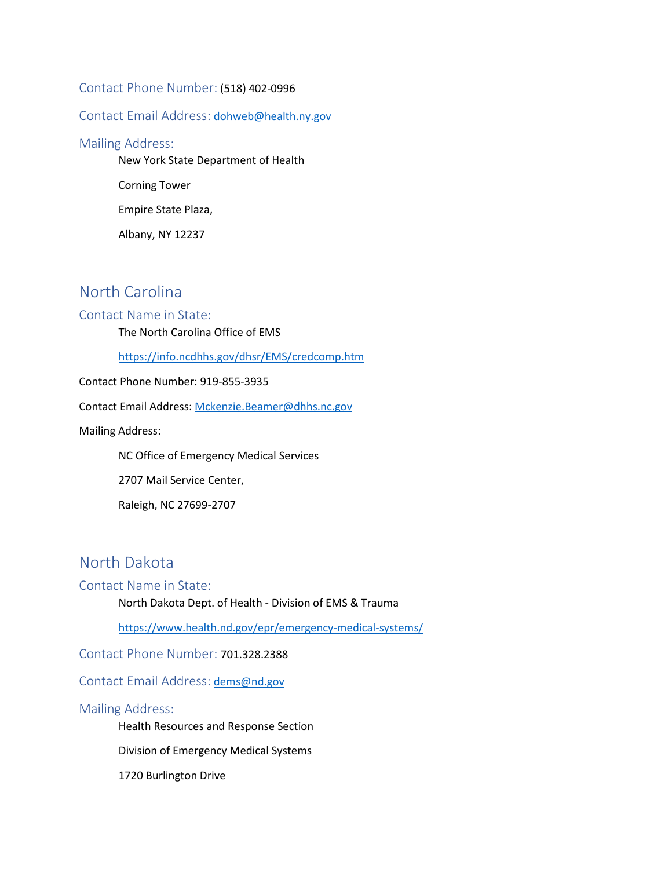### Contact Phone Number: (518) 402-0996

### Contact Email Address: [dohweb@health.ny.gov](mailto:dohweb@health.ny.gov)

#### Mailing Address:

New York State Department of Health

Corning Tower

Empire State Plaza,

Albany, NY 12237

# North Carolina

### Contact Name in State:

The North Carolina Office of EMS

<https://info.ncdhhs.gov/dhsr/EMS/credcomp.htm>

Contact Phone Number: 919-855-3935

Contact Email Address[: Mckenzie.Beamer@dhhs.nc.gov](mailto:Mckenzie.Beamer@dhhs.nc.gov)

Mailing Address:

NC Office of Emergency Medical Services

2707 Mail Service Center,

Raleigh, NC 27699-2707

# North Dakota

### Contact Name in State:

North Dakota Dept. of Health - Division of EMS & Trauma

<https://www.health.nd.gov/epr/emergency-medical-systems/>

Contact Phone Number: 701.328.2388

Contact Email Address: [dems@nd.gov](mailto:dems@nd.gov)

### Mailing Address:

Health Resources and Response Section

Division of Emergency Medical Systems

1720 Burlington Drive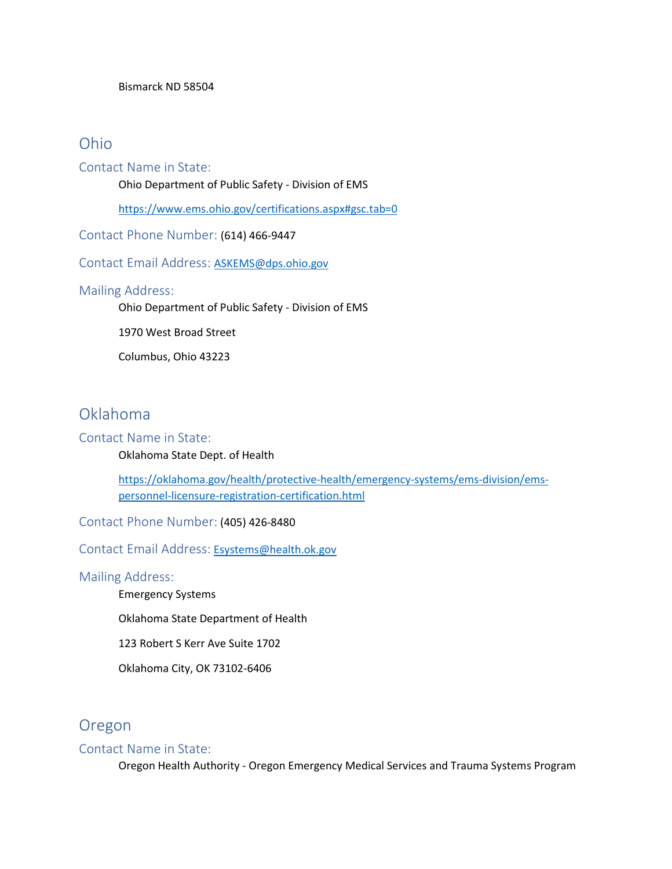#### Bismarck ND 58504

### Ohio

Contact Name in State:

Ohio Department of Public Safety - Division of EMS

<https://www.ems.ohio.gov/certifications.aspx#gsc.tab=0>

Contact Phone Number: (614) 466-9447

Contact Email Address:[ASKEMS@dps.ohio.gov](mailto:ASKEMS@dps.ohio.gov)

### Mailing Address:

Ohio Department of Public Safety - Division of EMS

1970 West Broad Street

Columbus, Ohio 43223

# Oklahoma

### Contact Name in State:

Oklahoma State Dept. of Health

[https://oklahoma.gov/health/protective-health/emergency-systems/ems-division/ems](https://oklahoma.gov/health/protective-health/emergency-systems/ems-division/ems-personnel-licensure-registration-certification.html)[personnel-licensure-registration-certification.html](https://oklahoma.gov/health/protective-health/emergency-systems/ems-division/ems-personnel-licensure-registration-certification.html)

Contact Phone Number: (405) 426-8480

Contact Email Address: [Esystems@health.ok.gov](mailto:Esystems@health.ok.gov)

### Mailing Address:

Emergency Systems

Oklahoma State Department of Health

123 Robert S Kerr Ave Suite 1702

Oklahoma City, OK 73102-6406

# Oregon

### Contact Name in State:

Oregon Health Authority - Oregon Emergency Medical Services and Trauma Systems Program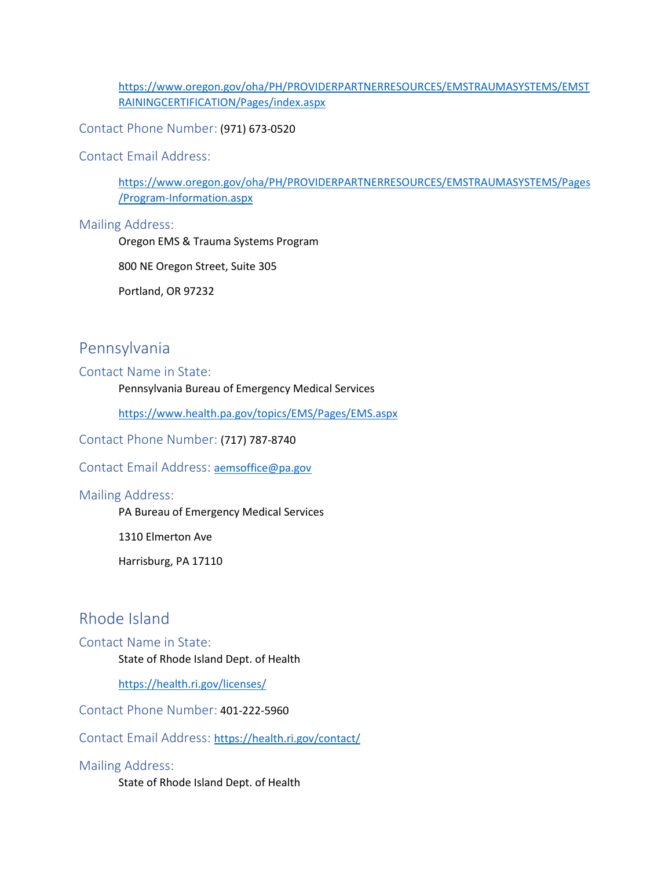[https://www.oregon.gov/oha/PH/PROVIDERPARTNERRESOURCES/EMSTRAUMASYSTEMS/EMST](https://www.oregon.gov/oha/PH/PROVIDERPARTNERRESOURCES/EMSTRAUMASYSTEMS/EMSTRAININGCERTIFICATION/Pages/index.aspx) [RAININGCERTIFICATION/Pages/index.aspx](https://www.oregon.gov/oha/PH/PROVIDERPARTNERRESOURCES/EMSTRAUMASYSTEMS/EMSTRAININGCERTIFICATION/Pages/index.aspx)

Contact Phone Number: (971) 673-0520

Contact Email Address:

[https://www.oregon.gov/oha/PH/PROVIDERPARTNERRESOURCES/EMSTRAUMASYSTEMS/Pages](https://www.oregon.gov/oha/PH/PROVIDERPARTNERRESOURCES/EMSTRAUMASYSTEMS/Pages/Program-Information.aspx) /Program-Information.aspx

### Mailing Address:

Oregon EMS & Trauma Systems Program

800 NE Oregon Street, Suite 305

Portland, OR 97232

# Pennsylvania

#### Contact Name in State:

Pennsylvania Bureau of Emergency Medical Services

<https://www.health.pa.gov/topics/EMS/Pages/EMS.aspx>

Contact Phone Number: (717) 787-8740

### Contact Email Address:[aemsoffice@pa.gov](mailto:aemsoffice@pa.gov)

### Mailing Address:

PA Bureau of Emergency Medical Services

1310 Elmerton Ave

Harrisburg, PA 17110

# Rhode Island

#### Contact Name in State:

State of Rhode Island Dept. of Health

<https://health.ri.gov/licenses/>

Contact Phone Number: 401-222-5960

Contact Email Address:<https://health.ri.gov/contact/>

#### Mailing Address:

State of Rhode Island Dept. of Health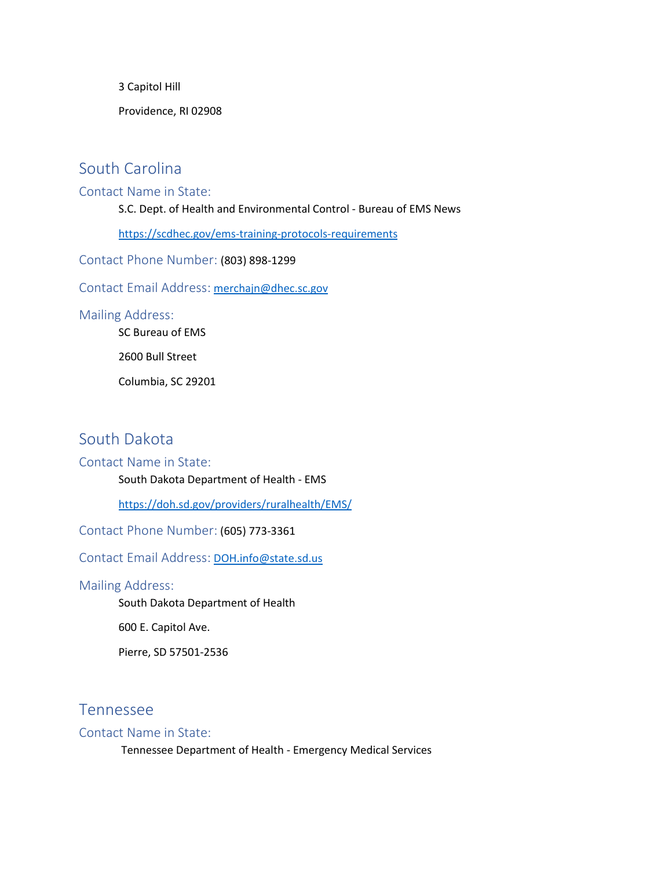3 Capitol Hill

Providence, RI 02908

# South Carolina

### Contact Name in State:

S.C. Dept. of Health and Environmental Control - Bureau of EMS News

<https://scdhec.gov/ems-training-protocols-requirements>

Contact Phone Number: (803) 898-1299

Contact Email Address: [merchajn@dhec.sc.gov](mailto:merchajn@dhec.sc.gov)

### Mailing Address:

SC Bureau of EMS

2600 Bull Street

Columbia, SC 29201

# South Dakota

### Contact Name in State:

South Dakota Department of Health - EMS

<https://doh.sd.gov/providers/ruralhealth/EMS/>

Contact Phone Number: (605) 773-3361

Contact Email Address: [DOH.info@state.sd.us](mailto:DOH.info@state.sd.us)

### Mailing Address:

South Dakota Department of Health

600 E. Capitol Ave.

Pierre, SD 57501-2536

### Tennessee

### Contact Name in State:

Tennessee Department of Health - Emergency Medical Services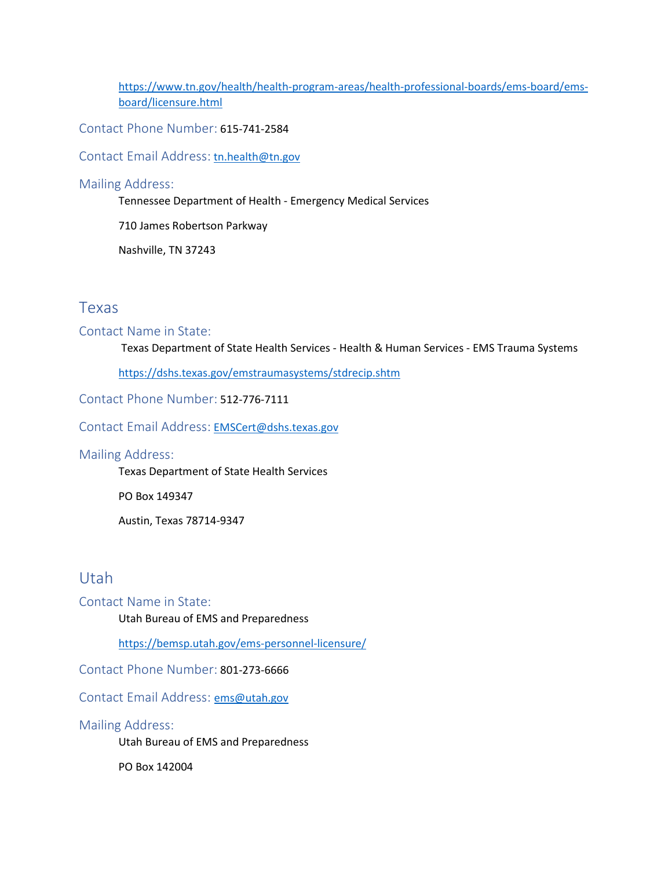[https://www.tn.gov/health/health-program-areas/health-professional-boards/ems-board/ems](https://www.tn.gov/health/health-program-areas/health-professional-boards/ems-board/ems-board/licensure.html)[board/licensure.html](https://www.tn.gov/health/health-program-areas/health-professional-boards/ems-board/ems-board/licensure.html)

Contact Phone Number: 615-741-2584

Contact Email Address: [tn.health@tn.gov](mailto:tn.health@tn.gov)

### Mailing Address:

Tennessee Department of Health - Emergency Medical Services

710 James Robertson Parkway

Nashville, TN 37243

### Texas

### Contact Name in State:

Texas Department of State Health Services - Health & Human Services - EMS Trauma Systems

<https://dshs.texas.gov/emstraumasystems/stdrecip.shtm>

Contact Phone Number: 512-776-7111

Contact Email Address: [EMSCert@dshs.texas.gov](mailto:EMSCert@dshs.texas.gov)

### Mailing Address:

Texas Department of State Health Services

PO Box 149347

Austin, Texas 78714-9347

### Utah

Contact Name in State:

Utah Bureau of EMS and Preparedness

<https://bemsp.utah.gov/ems-personnel-licensure/>

Contact Phone Number: 801-273-6666

Contact Email Address:[ems@utah.gov](mailto:ems@utah.gov)

### Mailing Address:

Utah Bureau of EMS and Preparedness

PO Box 142004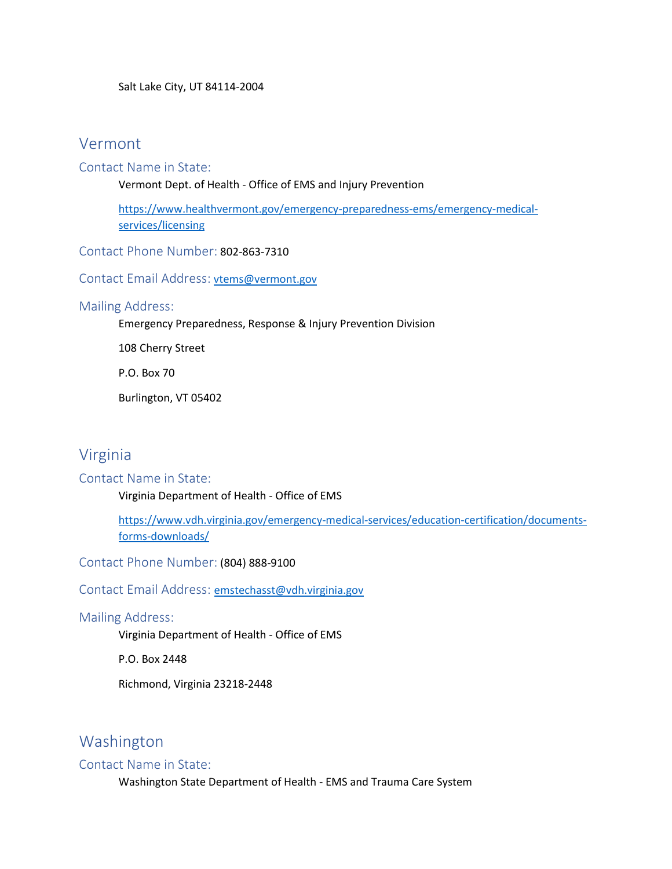Salt Lake City, UT 84114-2004

### Vermont

### Contact Name in State:

Vermont Dept. of Health - Office of EMS and Injury Prevention

[https://www.healthvermont.gov/emergency-preparedness-ems/emergency-medical](https://www.healthvermont.gov/emergency-preparedness-ems/emergency-medical-services/licensing)[services/licensing](https://www.healthvermont.gov/emergency-preparedness-ems/emergency-medical-services/licensing)

Contact Phone Number: 802-863-7310

Contact Email Address: [vtems@vermont.gov](mailto:vtems@vermont.gov)

### Mailing Address:

Emergency Preparedness, Response & Injury Prevention Division

108 Cherry Street

P.O. Box 70

Burlington, VT 05402

# Virginia

### Contact Name in State:

Virginia Department of Health - Office of EMS

[https://www.vdh.virginia.gov/emergency-medical-services/education-certification/documents](https://www.vdh.virginia.gov/emergency-medical-services/education-certification/documents-forms-downloads/)[forms-downloads/](https://www.vdh.virginia.gov/emergency-medical-services/education-certification/documents-forms-downloads/)

Contact Phone Number: (804) 888-9100

Contact Email Address:[emstechasst@vdh.virginia.gov](mailto:emstechasst@vdh.virginia.gov)

### Mailing Address:

Virginia Department of Health - Office of EMS

P.O. Box 2448

Richmond, Virginia 23218-2448

# Washington

### Contact Name in State:

Washington State Department of Health - EMS and Trauma Care System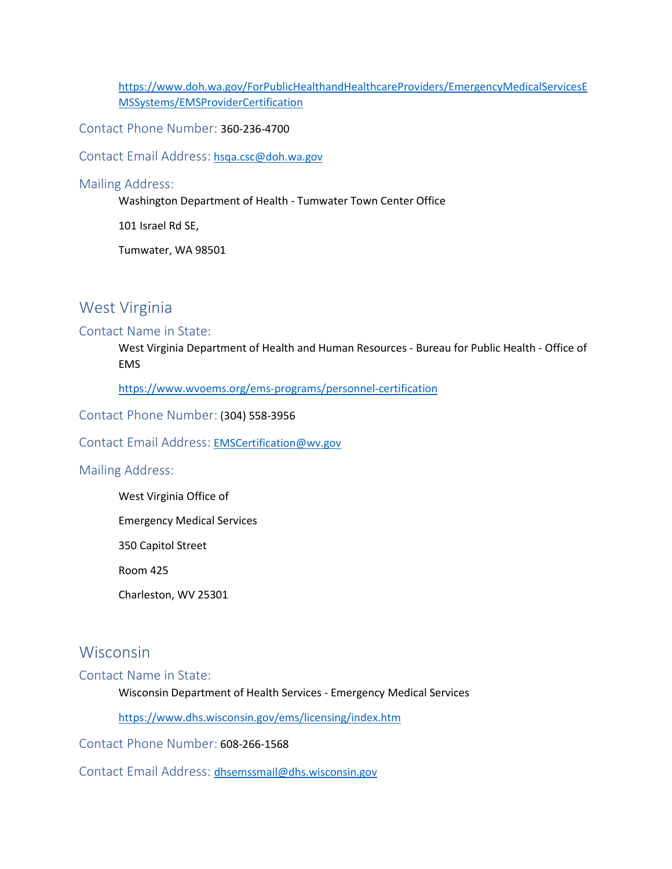[https://www.doh.wa.gov/ForPublicHealthandHealthcareProviders/EmergencyMedicalServicesE](https://www.doh.wa.gov/ForPublicHealthandHealthcareProviders/EmergencyMedicalServicesEMSSystems/EMSProviderCertification) [MSSystems/EMSProviderCertification](https://www.doh.wa.gov/ForPublicHealthandHealthcareProviders/EmergencyMedicalServicesEMSSystems/EMSProviderCertification)

Contact Phone Number: 360-236-4700

Contact Email Address: [hsqa.csc@doh.wa.gov](mailto:hsqa.csc@doh.wa.gov)

Mailing Address:

Washington Department of Health - Tumwater Town Center Office

101 Israel Rd SE,

Tumwater, WA 98501

# West Virginia

### Contact Name in State:

West Virginia Department of Health and Human Resources - Bureau for Public Health - Office of EMS

<https://www.wvoems.org/ems-programs/personnel-certification>

Contact Phone Number: (304) 558-3956

Contact Email Address: [EMSCertification@wv.gov](mailto:EMSCertification@wv.gov)

### Mailing Address:

West Virginia Office of

Emergency Medical Services

350 Capitol Street

Room 425

Charleston, WV 25301

### Wisconsin

### Contact Name in State:

Wisconsin Department of Health Services - Emergency Medical Services

<https://www.dhs.wisconsin.gov/ems/licensing/index.htm>

Contact Phone Number: 608-266-1568

ContactEmail Address: [dhsemssmail@dhs.wisconsin.gov](mailto:dhsemssmail@dhs.wisconsin.gov)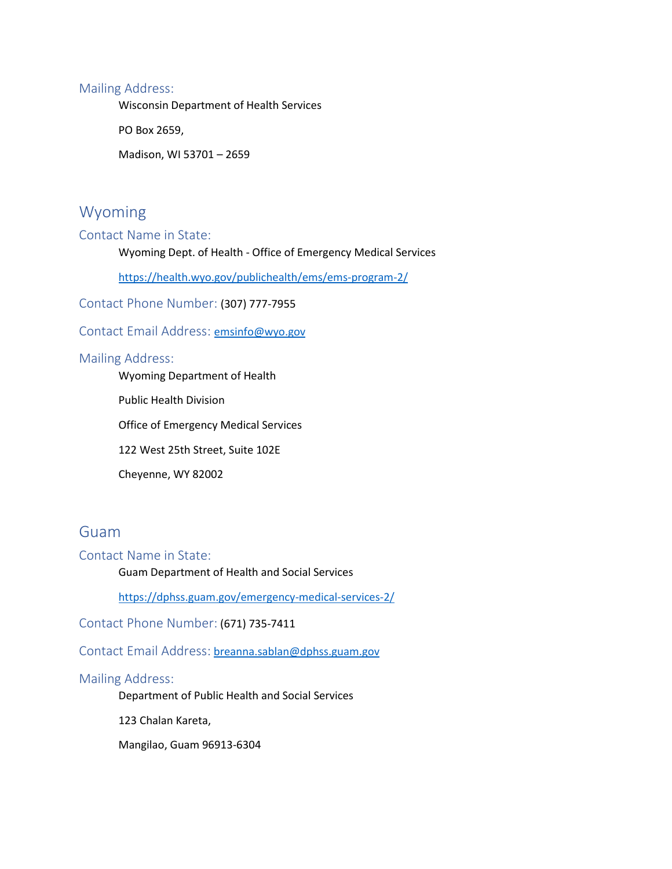### Mailing Address:

Wisconsin Department of Health Services

PO Box 2659,

Madison, WI 53701 – 2659

### Wyoming

Contact Name in State:

Wyoming Dept. of Health - Office of Emergency Medical Services

<https://health.wyo.gov/publichealth/ems/ems-program-2/>

Contact Phone Number: (307) 777-7955

Contact Email Address:[emsinfo@wyo.gov](mailto:emsinfo@wyo.gov)

### Mailing Address:

Wyoming Department of Health

Public Health Division

Office of Emergency Medical Services

122 West 25th Street, Suite 102E

Cheyenne, WY 82002

# Guam

Contact Name in State:

Guam Department of Health and Social Services

<https://dphss.guam.gov/emergency-medical-services-2/>

Contact Phone Number: (671) 735-7411

Contact Email Address: [breanna.sablan@dphss.guam.gov](mailto:breanna.sablan@dphss.guam.gov)

### Mailing Address:

Department of Public Health and Social Services

123 Chalan Kareta,

Mangilao, Guam 96913-6304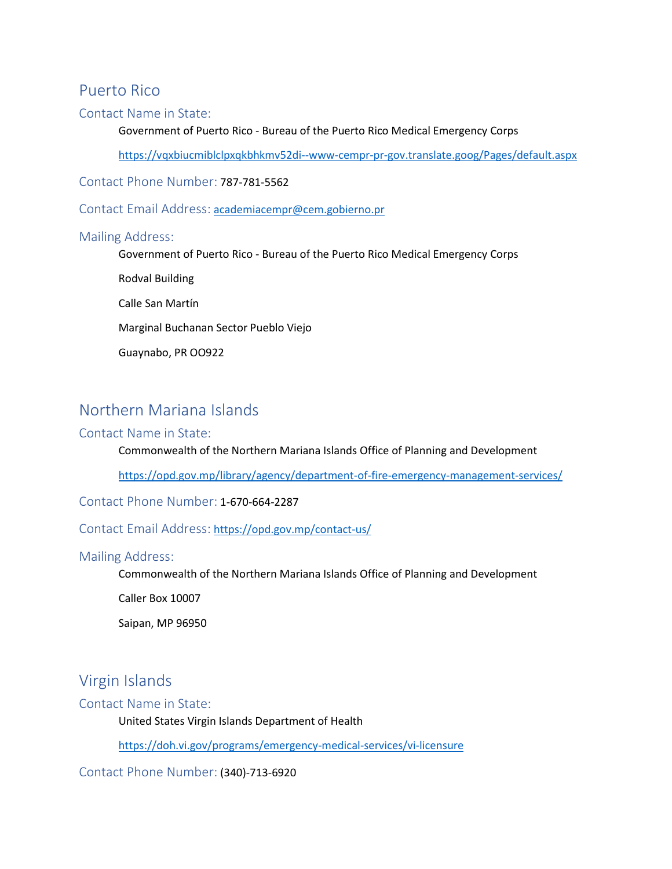### Puerto Rico

### Contact Name in State:

Government of Puerto Rico - Bureau of the Puerto Rico Medical Emergency Corps

<https://vqxbiucmiblclpxqkbhkmv52di--www-cempr-pr-gov.translate.goog/Pages/default.aspx>

Contact Phone Number: 787-781-5562

Contact Email Address: [academiacempr@cem.gobierno.pr](mailto:academiacempr@cem.gobierno.pr)

### Mailing Address:

Government of Puerto Rico - Bureau of the Puerto Rico Medical Emergency Corps

Rodval Building

Calle San Martín

Marginal Buchanan Sector Pueblo Viejo

Guaynabo, PR OO922

# Northern Mariana Islands

### Contact Name in State:

Commonwealth of the Northern Mariana Islands Office of Planning and Development

<https://opd.gov.mp/library/agency/department-of-fire-emergency-management-services/>

Contact Phone Number: 1-670-664-2287

Contact Email Address: <https://opd.gov.mp/contact-us/>

### Mailing Address:

Commonwealth of the Northern Mariana Islands Office of Planning and Development

Caller Box 10007

Saipan, MP 96950

# Virgin Islands

Contact Name in State:

United States Virgin Islands Department of Health

<https://doh.vi.gov/programs/emergency-medical-services/vi-licensure>

Contact Phone Number: (340)-713-6920